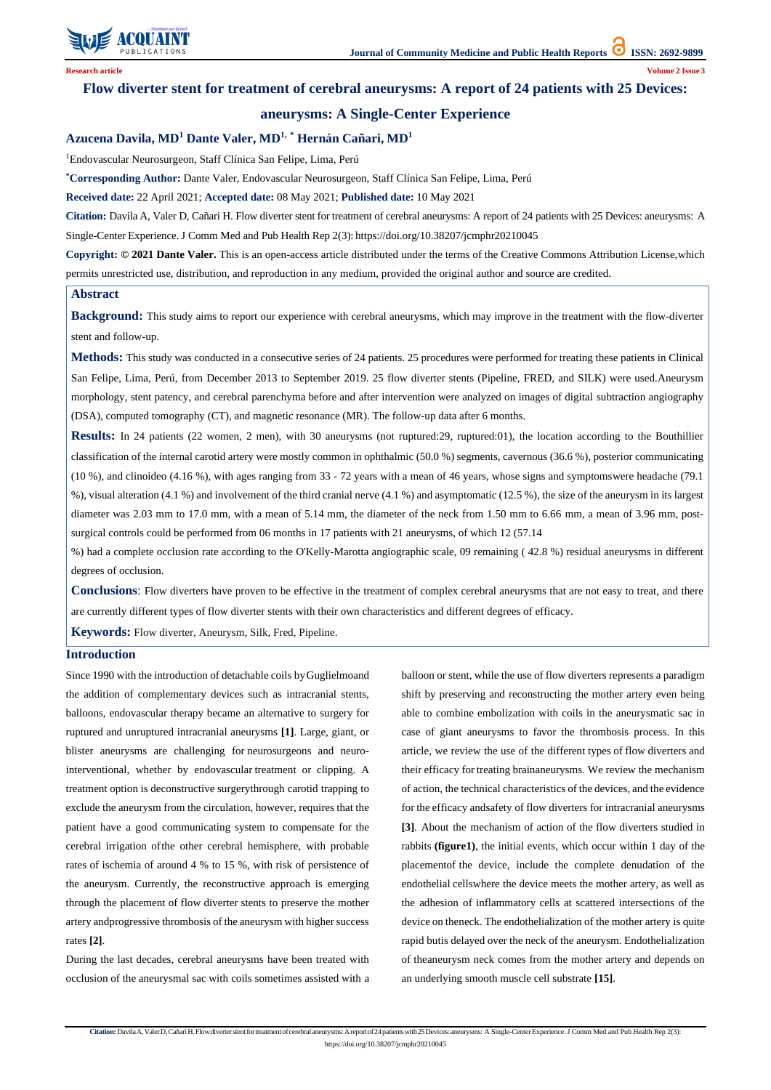

Citation: Davila A, Valer D, Cañari H. Flow diverter stent for treatment of cerebral aneurysms: A report of 24 patients with 25 Devices: aneurysms: A Single-Center Experience. J Comm Med and Pub Health Rep 2(3): https://doi.org/10.38207/jcmphr20210045

## **Flow diverter stent for treatment of cerebral aneurysms: A report of 24 patients with 25 Devices:**

## **aneurysms: A Single-Center Experience**

## **Azucena Davila, MD<sup>1</sup> Dante Valer, MD1, \* Hernán Cañari, MD<sup>1</sup>**

<sup>1</sup>Endovascular Neurosurgeon, Staff Clínica San Felipe, Lima, Perú

**\*Corresponding Author:** Dante Valer, Endovascular Neurosurgeon, Staff Clínica San Felipe, Lima, Perú

**Received date:** 22 April 2021; **Accepted date:** 08 May 2021; **Published date:** 10 May 2021

**Citation:** Davila A, Valer D, Cañari H. Flow diverter stent for treatment of cerebral aneurysms: A report of 24 patients with 25 Devices: aneurysms: A Single-Center Experience.J Comm Med and Pub Health Rep 2(3): https://doi.org/10.38207/jcmphr20210045

**Copyright: © 2021 Dante Valer.** This is an open-access article distributed under the terms of the Creative Commons Attribution License,which permits unrestricted use, distribution, and reproduction in any medium, provided the original author and source are credited.

### **Abstract**

**Background:** This study aims to report our experience with cerebral aneurysms, which may improve in the treatment with the flow-diverter stent and follow-up.

**Results:** In 24 patients (22 women, 2 men), with 30 aneurysms (not ruptured:29, ruptured:01), the location according to the Bouthillier classification of the internal carotid artery were mostly common in ophthalmic (50.0 %) segments, cavernous (36.6 %), posterior communicating (10 %), and clinoideo (4.16 %), with ages ranging from 33 - 72 years with a mean of 46 years, whose signs and symptomswere headache (79.1 %), visual alteration (4.1 %) and involvement of the third cranial nerve (4.1 %) and asymptomatic (12.5 %), the size of the aneurysm in its largest diameter was 2.03 mm to 17.0 mm, with a mean of 5.14 mm, the diameter of the neck from 1.50 mm to 6.66 mm, a mean of 3.96 mm, postsurgical controls could be performed from 06 months in 17 patients with 21 aneurysms, of which 12 (57.14

**Methods:** This study was conducted in a consecutive series of 24 patients. 25 procedures were performed for treating these patients in Clinical San Felipe, Lima, Perú, from December 2013 to September 2019. 25 flow diverter stents (Pipeline, FRED, and SILK) were used.Aneurysm morphology, stent patency, and cerebral parenchyma before and after intervention were analyzed on images of digital subtraction angiography (DSA), computed tomography (CT), and magnetic resonance (MR). The follow-up data after 6 months.

%) had a complete occlusion rate according to the O'Kelly-Marotta angiographic scale, 09 remaining ( 42.8 %) residual aneurysms in different degrees of occlusion.

**Conclusions**: Flow diverters have proven to be effective in the treatment of complex cerebral aneurysms that are not easy to treat, and there are currently different types of flow diverter stents with their own characteristics and different degrees of efficacy.

**Keywords:** Flow diverter, Aneurysm, Silk, Fred, Pipeline.

#### **Introduction**

Since 1990 with the introduction of detachable coils byGuglielmoand the addition of complementary devices such as intracranial stents, balloons, endovascular therapy became an alternative to surgery for ruptured and unruptured intracranial aneurysms **[1]**. Large, giant, or blister aneurysms are challenging for neurosurgeons and neurointerventional, whether by endovascular treatment or clipping. A treatment option is deconstructive surgerythrough carotid trapping to exclude the aneurysm from the circulation, however, requires that the patient have a good communicating system to compensate for the cerebral irrigation ofthe other cerebral hemisphere, with probable rates of ischemia of around 4 % to 15 %, with risk of persistence of the aneurysm. Currently, the reconstructive approach is emerging through the placement of flow diverter stents to preserve the mother artery andprogressive thrombosis of the aneurysm with higher success rates **[2]**. During the last decades, cerebral aneurysms have been treated with occlusion of the aneurysmal sac with coils sometimes assisted with a balloon or stent, while the use of flow diverters represents a paradigm shift by preserving and reconstructing the mother artery even being able to combine embolization with coils in the aneurysmatic sac in case of giant aneurysms to favor the thrombosis process. In this article, we review the use of the different types of flow diverters and their efficacy for treating brainaneurysms. We review the mechanism of action, the technical characteristics of the devices, and the evidence for the efficacy andsafety of flow diverters for intracranial aneurysms **[3]**. About the mechanism of action of the flow diverters studied in rabbits **(figure1)**, the initial events, which occur within 1 day of the placementof the device, include the complete denudation of the endothelial cellswhere the device meets the mother artery, as well as the adhesion of inflammatory cells at scattered intersections of the device on theneck. The endothelialization of the mother artery is quite rapid butis delayed over the neck of the aneurysm. Endothelialization of theaneurysm neck comes from the mother artery and depends on an underlying smooth muscle cell substrate **[15]**.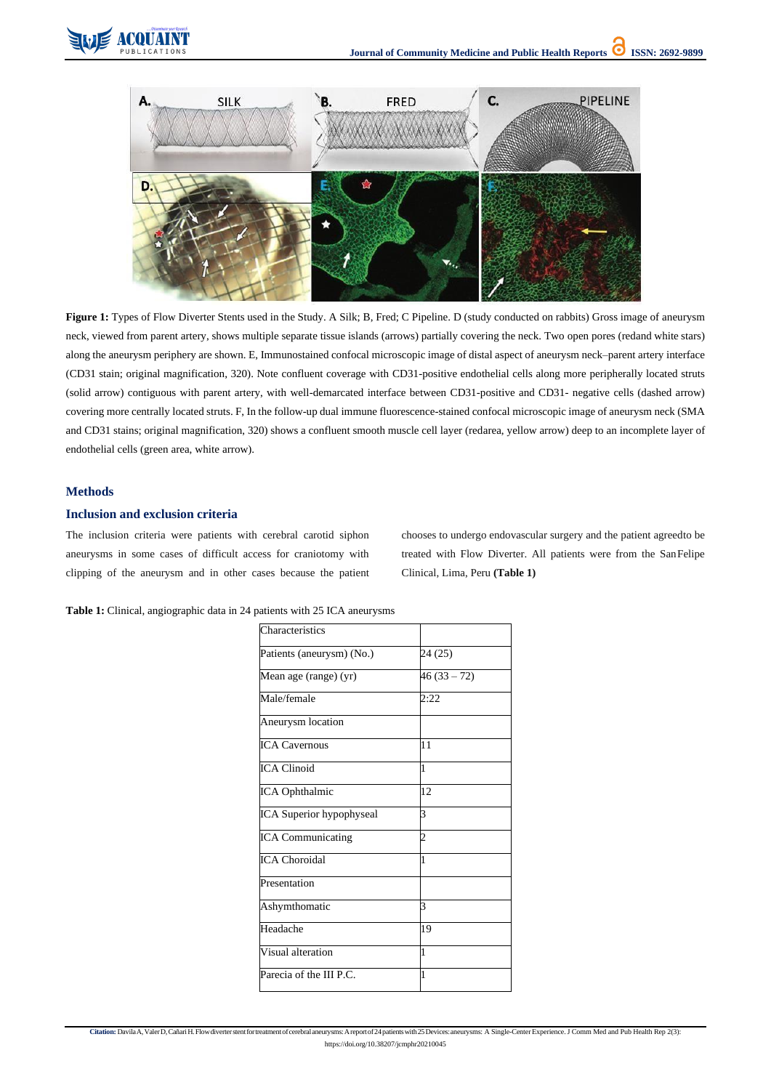https://doi.org/10.38207/jcmphr20210045





Figure 1: Types of Flow Diverter Stents used in the Study. A Silk; B, Fred; C Pipeline. D (study conducted on rabbits) Gross image of aneurysm neck, viewed from parent artery, shows multiple separate tissue islands (arrows) partially covering the neck. Two open pores (redand white stars) along the aneurysm periphery are shown. E, Immunostained confocal microscopic image of distal aspect of aneurysm neck–parent artery interface (CD31 stain; original magnification, 320). Note confluent coverage with CD31-positive endothelial cells along more peripherally located struts (solid arrow) contiguous with parent artery, with well-demarcated interface between CD31-positive and CD31- negative cells (dashed arrow) covering more centrally located struts. F, In the follow-up dual immune fluorescence-stained confocal microscopic image of aneurysm neck (SMA and CD31 stains; original magnification, 320) shows a confluent smooth muscle cell layer (redarea, yellow arrow) deep to an incomplete layer of endothelial cells (green area, white arrow).

## **Methods**

## **Inclusion and exclusion criteria**

The inclusion criteria were patients with cerebral carotid siphon aneurysms in some cases of difficult access for craniotomy with clipping of the aneurysm and in other cases because the patient chooses to undergo endovascular surgery and the patient agreedto be treated with Flow Diverter. All patients were from the SanFelipe Clinical, Lima, Peru **(Table 1)**

**Table 1:** Clinical, angiographic data in 24 patients with 25 ICA aneurysms

| Characteristics           |                |
|---------------------------|----------------|
| Patients (aneurysm) (No.) | 24 (25)        |
| Mean age (range) (yr)     | $46(33-72)$    |
| Male/female               | 2:22           |
| Aneurysm location         |                |
| <b>ICA Cavernous</b>      | 11             |
| <b>ICA Clinoid</b>        | $\mathbf{1}$   |
| ICA Ophthalmic            | 12             |
| ICA Superior hypophyseal  | 3              |
| <b>ICA Communicating</b>  | $\overline{2}$ |
| <b>ICA Choroidal</b>      | $\overline{1}$ |
| Presentation              |                |
| Ashymthomatic             | 3              |
| Headache                  | 19             |
| Visual alteration         | 1              |
|                           | $\mathbf{1}$   |
| Parecia of the III P.C.   |                |

Citation: DavilaA, ValerD, Cañari H. Flow diverter stent for treatment of cerebral aneurysms: A report of 24 patients with 25 Devices: aneurysms: A Single-Center Experience. J Comm Med and Pub Health Rep 2(3):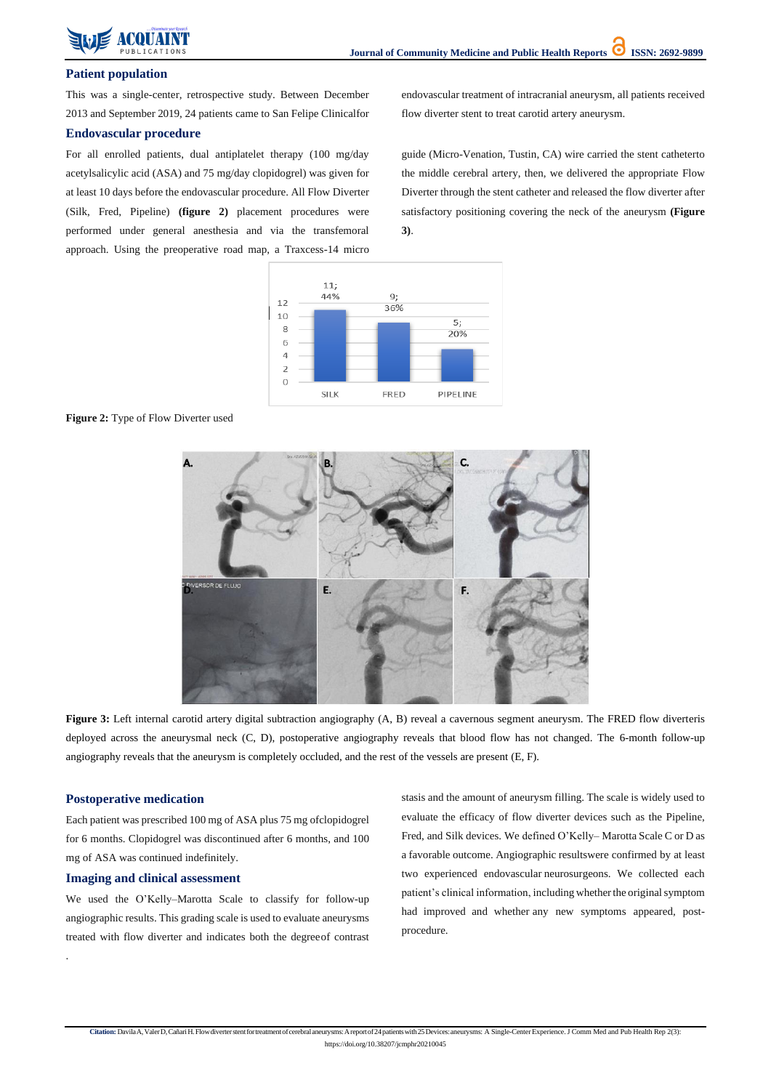https://doi.org/10.38207/jcmphr20210045

## **Patient population**

This was a single-center, retrospective study. Between December 2013 and September 2019, 24 patients came to San Felipe Clinicalfor endovascular treatment of intracranial aneurysm, all patients received flow diverter stent to treat carotid artery aneurysm.

## **Endovascular procedure**

For all enrolled patients, dual antiplatelet therapy (100 mg/day acetylsalicylic acid (ASA) and 75 mg/day clopidogrel) was given for at least 10 days before the endovascular procedure. All Flow Diverter (Silk, Fred, Pipeline) **(figure 2)** placement procedures were performed under general anesthesia and via the transfemoral approach. Using the preoperative road map, a Traxcess-14 micro guide (Micro-Venation, Tustin, CA) wire carried the stent catheterto the middle cerebral artery, then, we delivered the appropriate Flow Diverter through the stent catheter and released the flow diverter after satisfactory positioning covering the neck of the aneurysm **(Figure 3)**.



**Figure 2:** Type of Flow Diverter used



**Figure 3:** Left internal carotid artery digital subtraction angiography (A, B) reveal a cavernous segment aneurysm. The FRED flow diverteris deployed across the aneurysmal neck (C, D), postoperative angiography reveals that blood flow has not changed. The 6-month follow-up angiography reveals that the aneurysm is completely occluded, and the rest of the vessels are present (E, F).

# **Postoperative medication**

Each patient was prescribed 100 mg of ASA plus 75 mg ofclopidogrel

for 6 months. Clopidogrel was discontinued after 6 months, and 100 mg of ASA was continued indefinitely.

## **Imaging and clinical assessment**

We used the O'Kelly–Marotta Scale to classify for follow-up angiographic results. This grading scale is used to evaluate aneurysms treated with flow diverter and indicates both the degree of contrast stasis and the amount of aneurysm filling. The scale is widely used to evaluate the efficacy of flow diverter devices such as the Pipeline,

Fred, and Silk devices. We defined O'Kelly– Marotta Scale C or D as a favorable outcome. Angiographic resultswere confirmed by at least two experienced endovascular neurosurgeons. We collected each patient's clinical information, including whether the original symptom had improved and whether any new symptoms appeared, postprocedure.

Citation: Davila A, Valer D, Cañari H. Flow diverter stent for treatment of cerebral aneurysms: A report of 24 patients with 25 Devices: aneurysms: A Single-Center Experience. J Comm Med and Pub Health Rep 2(3):

.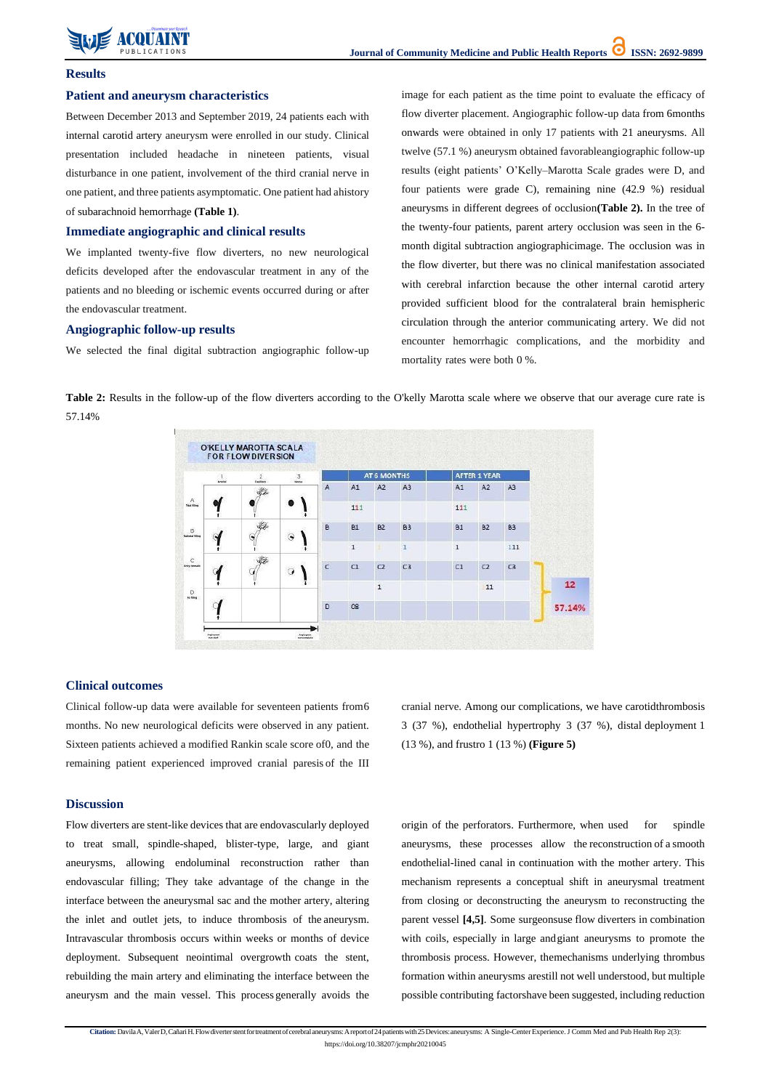

**Citation:**DavilaA,ValerD,CañariH.Flowdiverterstentfortreatmentofcerebralaneurysms:Areportof24patientswith25Devices:aneurysms: A Single-CenterExperience.J Comm Med and Pub Health Rep 2(3): https://doi.org/10.38207/jcmphr20210045

### **Results**

## **Patient and aneurysm characteristics**

Between December 2013 and September 2019, 24 patients each with internal carotid artery aneurysm were enrolled in our study. Clinical presentation included headache in nineteen patients, visual disturbance in one patient, involvement of the third cranial nerve in one patient, and three patients asymptomatic. One patient had ahistory of subarachnoid hemorrhage **(Table 1)**.

#### **Immediate angiographic and clinical results**

We implanted twenty-five flow diverters, no new neurological deficits developed after the endovascular treatment in any of the patients and no bleeding or ischemic events occurred during or after the endovascular treatment.

#### **Angiographic follow-up results**

We selected the final digital subtraction angiographic follow-up

image for each patient as the time point to evaluate the efficacy of flow diverter placement. Angiographic follow-up data from 6months onwards were obtained in only 17 patients with 21 aneurysms. All twelve (57.1 %) aneurysm obtained favorableangiographic follow-up results (eight patients' O'Kelly–Marotta Scale grades were D, and four patients were grade C), remaining nine (42.9 %) residual aneurysms in different degrees of occlusion**(Table 2).** In the tree of the twenty-four patients, parent artery occlusion was seen in the 6 month digital subtraction angiographicimage. The occlusion was in the flow diverter, but there was no clinical manifestation associated with cerebral infarction because the other internal carotid artery provided sufficient blood for the contralateral brain hemispheric circulation through the anterior communicating artery. We did not encounter hemorrhagic complications, and the morbidity and mortality rates were both 0 %.

**Table 2:** Results in the follow-up of the flow diverters according to the O'kelly Marotta scale where we observe that our average cure rate is 57.14%



#### **Clinical outcomes**

Clinical follow-up data were available for seventeen patients from6 months. No new neurological deficits were observed in any patient. Sixteen patients achieved a modified Rankin scale score of0, and the remaining patient experienced improved cranial paresis of the III cranial nerve. Among our complications, we have carotidthrombosis 3 (37 %), endothelial hypertrophy 3 (37 %), distal deployment 1 (13 %), and frustro 1 (13 %) **(Figure 5)**

## **Discussion**

Flow diverters are stent-like devices that are endovascularly deployed to treat small, spindle-shaped, blister-type, large, and giant aneurysms, allowing endoluminal reconstruction rather than endovascular filling; They take advantage of the change in the interface between the aneurysmal sac and the mother artery, altering the inlet and outlet jets, to induce thrombosis of the aneurysm. Intravascular thrombosis occurs within weeks or months of device deployment. Subsequent neointimal overgrowth coats the stent, rebuilding the main artery and eliminating the interface between the aneurysm and the main vessel. This process generally avoids the origin of the perforators. Furthermore, when used for spindle aneurysms, these processes allow the reconstruction of a smooth endothelial-lined canal in continuation with the mother artery. This mechanism represents a conceptual shift in aneurysmal treatment from closing or deconstructing the aneurysm to reconstructing the parent vessel **[4,5]**. Some surgeonsuse flow diverters in combination with coils, especially in large andgiant aneurysms to promote the thrombosis process. However, themechanisms underlying thrombus formation within aneurysms arestill not well understood, but multiple possible contributing factorshave been suggested, including reduction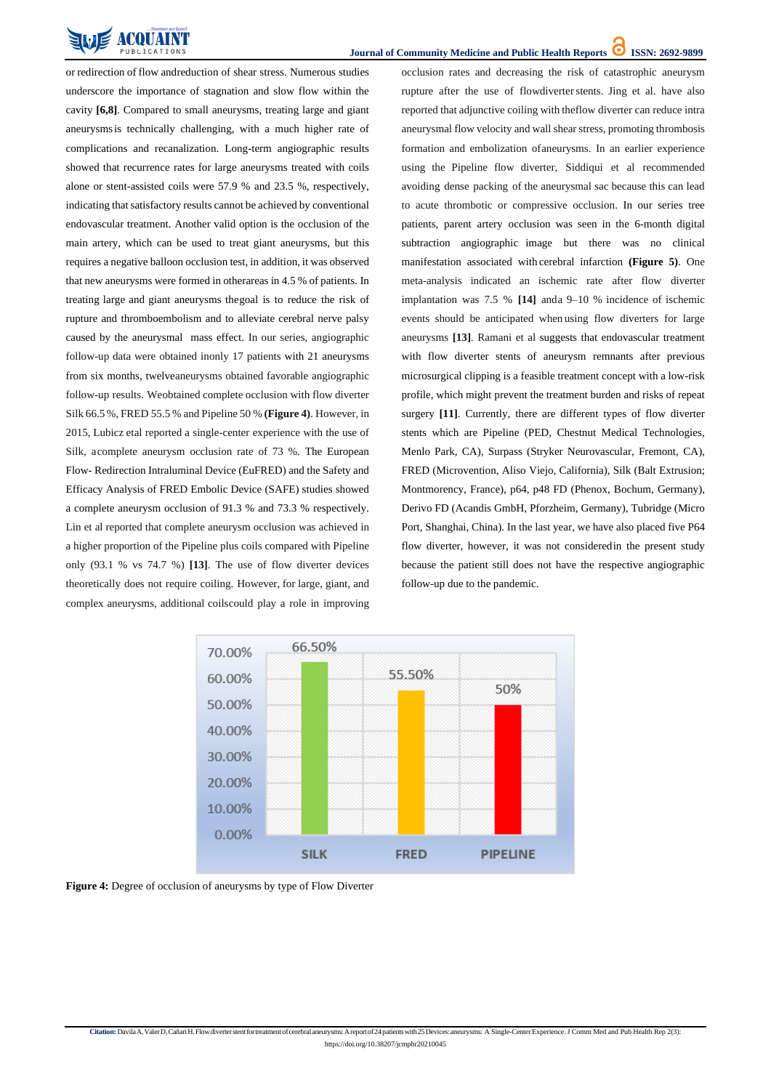

https://doi.org/10.38207/jcmphr20210045

or redirection of flow andreduction of shear stress. Numerous studies underscore the importance of stagnation and slow flow within the cavity **[6,8]**. Compared to small aneurysms, treating large and giant aneurysmsis technically challenging, with a much higher rate of complications and recanalization. Long-term angiographic results showed that recurrence rates for large aneurysms treated with coils alone or stent-assisted coils were 57.9 % and 23.5 %, respectively, indicating that satisfactory results cannot be achieved by conventional endovascular treatment. Another valid option is the occlusion of the main artery, which can be used to treat giant aneurysms, but this requires a negative balloon occlusion test, in addition, it was observed that new aneurysms were formed in otherareas in 4.5 % of patients. In treating large and giant aneurysms thegoal is to reduce the risk of rupture and thromboembolism and to alleviate cerebral nerve palsy caused by the aneurysmal mass effect. In our series, angiographic follow-up data were obtained inonly 17 patients with 21 aneurysms from six months, twelveaneurysms obtained favorable angiographic follow-up results. Weobtained complete occlusion with flow diverter Silk 66.5 %, FRED 55.5 % and Pipeline 50 % **(Figure 4)**. However, in 2015, Lubicz etal reported a single-center experience with the use of Silk, acomplete aneurysm occlusion rate of 73 %. The European Flow- Redirection Intraluminal Device (EuFRED) and the Safety and Efficacy Analysis of FRED Embolic Device (SAFE) studies showed a complete aneurysm occlusion of 91.3 % and 73.3 % respectively. Lin et al reported that complete aneurysm occlusion was achieved in a higher proportion of the Pipeline plus coils compared with Pipeline only (93.1 % vs 74.7 %) **[13]**. The use of flow diverter devices theoretically does not require coiling. However, for large, giant, and complex aneurysms, additional coilscould play a role in improving

occlusion rates and decreasing the risk of catastrophic aneurysm rupture after the use of flowdiverter stents. Jing et al. have also reported that adjunctive coiling with theflow diverter can reduce intra aneurysmal flow velocity and wall shear stress, promoting thrombosis formation and embolization ofaneurysms. In an earlier experience using the Pipeline flow diverter, Siddiqui et al recommended avoiding dense packing of the aneurysmal sac because this can lead to acute thrombotic or compressive occlusion. In our series tree patients, parent artery occlusion was seen in the 6-month digital subtraction angiographic image but there was no clinical manifestation associated with cerebral infarction **(Figure 5)**. One meta-analysis indicated an ischemic rate after flow diverter implantation was 7.5 % **[14]** anda 9–10 % incidence of ischemic events should be anticipated when using flow diverters for large aneurysms **[13]**. Ramani et al suggests that endovascular treatment with flow diverter stents of aneurysm remnants after previous microsurgical clipping is a feasible treatment concept with a low-risk profile, which might prevent the treatment burden and risks of repeat surgery **[11]**. Currently, there are different types of flow diverter stents which are Pipeline (PED, Chestnut Medical Technologies, Menlo Park, CA), Surpass (Stryker Neurovascular, Fremont, CA), FRED (Microvention, Aliso Viejo, California), Silk (Balt Extrusion; Montmorency, France), p64, p48 FD (Phenox, Bochum, Germany), Derivo FD (Acandis GmbH, Pforzheim, Germany), Tubridge (Micro Port, Shanghai, China). In the last year, we have also placed five P64 flow diverter, however, it was not consideredin the present study because the patient still does not have the respective angiographic follow-up due to the pandemic.





**Figure 4:** Degree of occlusion of aneurysms by type of Flow Diverter

Citation: DavilaA, ValerD, Cañari H. Flow diverter stent for treatment of cerebral aneurysms: A report of 24 patients with 25 Devices: aneurysms: A Single-Center Experience. J Comm Med and Pub Health Rep 2(3):